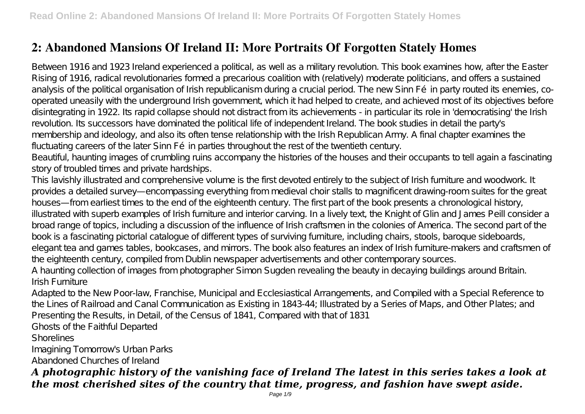## **2: Abandoned Mansions Of Ireland II: More Portraits Of Forgotten Stately Homes**

Between 1916 and 1923 Ireland experienced a political, as well as a military revolution. This book examines how, after the Easter Rising of 1916, radical revolutionaries formed a precarious coalition with (relatively) moderate politicians, and offers a sustained analysis of the political organisation of Irish republicanism during a crucial period. The new Sinn Fé in party routed its enemies, cooperated uneasily with the underground Irish government, which it had helped to create, and achieved most of its objectives before disintegrating in 1922. Its rapid collapse should not distract from its achievements - in particular its role in 'democratising' the Irish revolution. Its successors have dominated the political life of independent Ireland. The book studies in detail the party's membership and ideology, and also its often tense relationship with the Irish Republican Army. A final chapter examines the fluctuating careers of the later Sinn Fé in parties throughout the rest of the twentieth century.

Beautiful, haunting images of crumbling ruins accompany the histories of the houses and their occupants to tell again a fascinating story of troubled times and private hardships.

This lavishly illustrated and comprehensive volume is the first devoted entirely to the subject of Irish furniture and woodwork. It provides a detailed survey—encompassing everything from medieval choir stalls to magnificent drawing-room suites for the great houses—from earliest times to the end of the eighteenth century. The first part of the book presents a chronological history, illustrated with superb examples of Irish furniture and interior carving. In a lively text, the Knight of Glin and James Peill consider a broad range of topics, including a discussion of the influence of Irish craftsmen in the colonies of America. The second part of the book is a fascinating pictorial catalogue of different types of surviving furniture, including chairs, stools, baroque sideboards, elegant tea and games tables, bookcases, and mirrors. The book also features an index of Irish furniture-makers and craftsmen of the eighteenth century, compiled from Dublin newspaper advertisements and other contemporary sources.

A haunting collection of images from photographer Simon Sugden revealing the beauty in decaying buildings around Britain. Irish Furniture

Adapted to the New Poor-law, Franchise, Municipal and Ecclesiastical Arrangements, and Compiled with a Special Reference to the Lines of Railroad and Canal Communication as Existing in 1843-44; Illustrated by a Series of Maps, and Other Plates; and Presenting the Results, in Detail, of the Census of 1841, Compared with that of 1831

Ghosts of the Faithful Departed

Shorelines

Imagining Tomorrow's Urban Parks Abandoned Churches of Ireland

### *A photographic history of the vanishing face of Ireland The latest in this series takes a look at the most cherished sites of the country that time, progress, and fashion have swept aside.*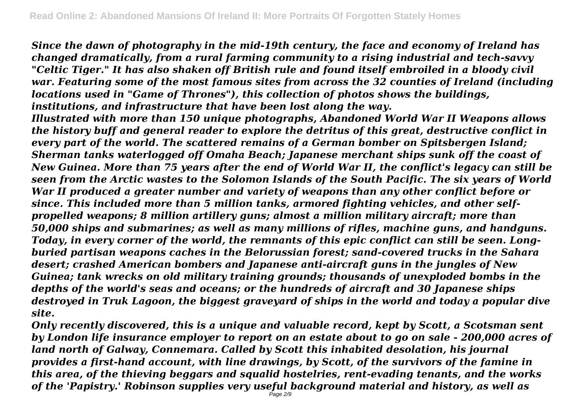*Since the dawn of photography in the mid-19th century, the face and economy of Ireland has changed dramatically, from a rural farming community to a rising industrial and tech-savvy "Celtic Tiger." It has also shaken off British rule and found itself embroiled in a bloody civil war. Featuring some of the most famous sites from across the 32 counties of Ireland (including locations used in "Game of Thrones"), this collection of photos shows the buildings, institutions, and infrastructure that have been lost along the way.*

*Illustrated with more than 150 unique photographs, Abandoned World War II Weapons allows the history buff and general reader to explore the detritus of this great, destructive conflict in every part of the world. The scattered remains of a German bomber on Spitsbergen Island; Sherman tanks waterlogged off Omaha Beach; Japanese merchant ships sunk off the coast of New Guinea. More than 75 years after the end of World War II, the conflict's legacy can still be seen from the Arctic wastes to the Solomon Islands of the South Pacific. The six years of World War II produced a greater number and variety of weapons than any other conflict before or since. This included more than 5 million tanks, armored fighting vehicles, and other selfpropelled weapons; 8 million artillery guns; almost a million military aircraft; more than 50,000 ships and submarines; as well as many millions of rifles, machine guns, and handguns. Today, in every corner of the world, the remnants of this epic conflict can still be seen. Longburied partisan weapons caches in the Belorussian forest; sand-covered trucks in the Sahara desert; crashed American bombers and Japanese anti-aircraft guns in the jungles of New Guinea; tank wrecks on old military training grounds; thousands of unexploded bombs in the depths of the world's seas and oceans; or the hundreds of aircraft and 30 Japanese ships destroyed in Truk Lagoon, the biggest graveyard of ships in the world and today a popular dive site.*

*Only recently discovered, this is a unique and valuable record, kept by Scott, a Scotsman sent by London life insurance employer to report on an estate about to go on sale - 200,000 acres of land north of Galway, Connemara. Called by Scott this inhabited desolation, his journal provides a first-hand account, with line drawings, by Scott, of the survivors of the famine in this area, of the thieving beggars and squalid hostelries, rent-evading tenants, and the works of the 'Papistry.' Robinson supplies very useful background material and history, as well as*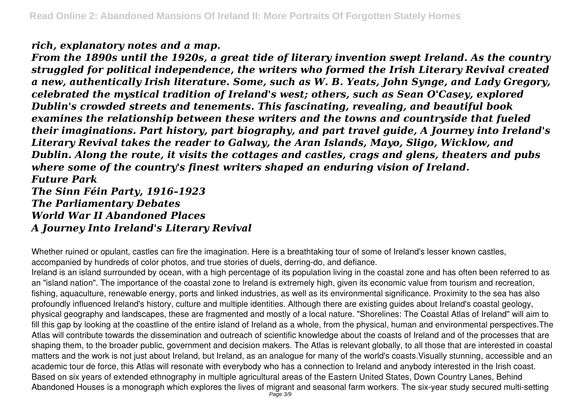#### *rich, explanatory notes and a map.*

*From the 1890s until the 1920s, a great tide of literary invention swept Ireland. As the country struggled for political independence, the writers who formed the Irish Literary Revival created a new, authentically Irish literature. Some, such as W. B. Yeats, John Synge, and Lady Gregory, celebrated the mystical tradition of Ireland's west; others, such as Sean O'Casey, explored Dublin's crowded streets and tenements. This fascinating, revealing, and beautiful book examines the relationship between these writers and the towns and countryside that fueled their imaginations. Part history, part biography, and part travel guide, A Journey into Ireland's Literary Revival takes the reader to Galway, the Aran Islands, Mayo, Sligo, Wicklow, and Dublin. Along the route, it visits the cottages and castles, crags and glens, theaters and pubs where some of the country's finest writers shaped an enduring vision of Ireland. Future Park*

*The Sinn Féin Party, 1916–1923 The Parliamentary Debates World War II Abandoned Places A Journey Into Ireland's Literary Revival*

Whether ruined or opulant, castles can fire the imagination. Here is a breathtaking tour of some of Ireland's lesser known castles, accompanied by hundreds of color photos, and true stories of duels, derring-do, and defiance.

Ireland is an island surrounded by ocean, with a high percentage of its population living in the coastal zone and has often been referred to as an "island nation". The importance of the coastal zone to Ireland is extremely high, given its economic value from tourism and recreation, fishing, aquaculture, renewable energy, ports and linked industries, as well as its environmental significance. Proximity to the sea has also profoundly influenced Ireland's history, culture and multiple identities. Although there are existing guides about Ireland's coastal geology, physical geography and landscapes, these are fragmented and mostly of a local nature. "Shorelines: The Coastal Atlas of Ireland" will aim to fill this gap by looking at the coastline of the entire island of Ireland as a whole, from the physical, human and environmental perspectives.The Atlas will contribute towards the dissemination and outreach of scientific knowledge about the coasts of Ireland and of the processes that are shaping them, to the broader public, government and decision makers. The Atlas is relevant globally, to all those that are interested in coastal matters and the work is not just about Ireland, but Ireland, as an analogue for many of the world's coasts.Visually stunning, accessible and an academic tour de force, this Atlas will resonate with everybody who has a connection to Ireland and anybody interested in the Irish coast. Based on six years of extended ethnography in multiple agricultural areas of the Eastern United States, Down Country Lanes, Behind Abandoned Houses is a monograph which explores the lives of migrant and seasonal farm workers. The six-year study secured multi-setting<br>Page 3/9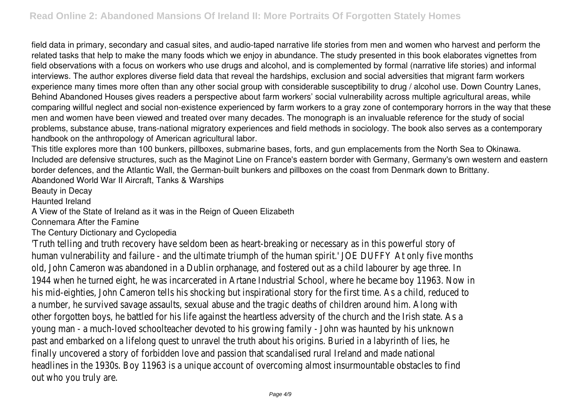field data in primary, secondary and casual sites, and audio-taped narrative life stories from men and women who harvest and perform the related tasks that help to make the many foods which we enjoy in abundance. The study presented in this book elaborates vignettes from field observations with a focus on workers who use drugs and alcohol, and is complemented by formal (narrative life stories) and informal interviews. The author explores diverse field data that reveal the hardships, exclusion and social adversities that migrant farm workers experience many times more often than any other social group with considerable susceptibility to drug / alcohol use. Down Country Lanes, Behind Abandoned Houses gives readers a perspective about farm workers' social vulnerability across multiple agricultural areas, while comparing willful neglect and social non-existence experienced by farm workers to a gray zone of contemporary horrors in the way that these men and women have been viewed and treated over many decades. The monograph is an invaluable reference for the study of social problems, substance abuse, trans-national migratory experiences and field methods in sociology. The book also serves as a contemporary handbook on the anthropology of American agricultural labor.

This title explores more than 100 bunkers, pillboxes, submarine bases, forts, and gun emplacements from the North Sea to Okinawa. Included are defensive structures, such as the Maginot Line on France's eastern border with Germany, Germany's own western and eastern border defences, and the Atlantic Wall, the German-built bunkers and pillboxes on the coast from Denmark down to Brittany. Abandoned World War II Aircraft, Tanks & Warships

Beauty in Decay

Haunted Ireland

A View of the State of Ireland as it was in the Reign of Queen Elizabeth

Connemara After the Famine

The Century Dictionary and Cyclopedia

'Truth telling and truth recovery have seldom been as heart-breaking or necessary as in this powerful story of human vulnerability and failure - and the ultimate triumph of the human spirit.' JOE DUFFY At only five months old, John Cameron was abandoned in a Dublin orphanage, and fostered out as a child labourer by age three. In 1944 when he turned eight, he was incarcerated in Artane Industrial School, where he became boy 11963. Now in his mid-eighties, John Cameron tells his shocking but inspirational story for the first time. As a child, reduced to a number, he survived savage assaults, sexual abuse and the tragic deaths of children around him. Along with other forgotten boys, he battled for his life against the heartless adversity of the church and the Irish state. As a young man - a much-loved schoolteacher devoted to his growing family - John was haunted by his unknown past and embarked on a lifelong quest to unravel the truth about his origins. Buried in a labyrinth of lies, he finally uncovered a story of forbidden love and passion that scandalised rural Ireland and made national headlines in the 1930s. Boy 11963 is a unique account of overcoming almost insurmountable obstacles to find out who you truly are.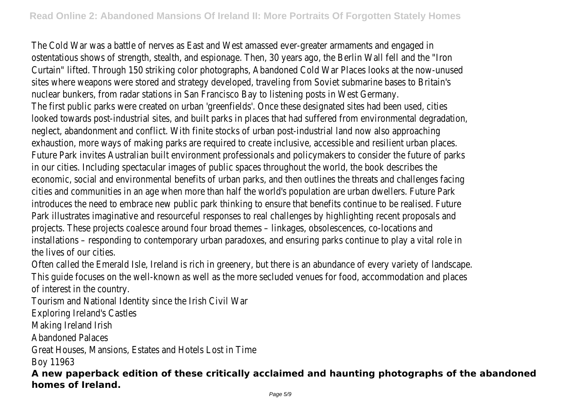The Cold War was a battle of nerves as East and West amassed ever-greater armaments and engaged in ostentatious shows of strength, stealth, and espionage. Then, 30 years ago, the Berlin Wall fell and the "Iron Curtain" lifted. Through 150 striking color photographs, Abandoned Cold War Places looks at the now-unused sites where weapons were stored and strategy developed, traveling from Soviet submarine bases to Britain's nuclear bunkers, from radar stations in San Francisco Bay to listening posts in West Germany. The first public parks were created on urban 'greenfields'. Once these designated sites had been used, cities looked towards post-industrial sites, and built parks in places that had suffered from environmental degradation, neglect, abandonment and conflict. With finite stocks of urban post-industrial land now also approaching exhaustion, more ways of making parks are required to create inclusive, accessible and resilient urban places. Future Park invites Australian built environment professionals and policymakers to consider the future of parks in our cities. Including spectacular images of public spaces throughout the world, the book describes the economic, social and environmental benefits of urban parks, and then outlines the threats and challenges facing cities and communities in an age when more than half the world's population are urban dwellers. Future Park introduces the need to embrace new public park thinking to ensure that benefits continue to be realised. Future Park illustrates imaginative and resourceful responses to real challenges by highlighting recent proposals and projects. These projects coalesce around four broad themes – linkages, obsolescences, co-locations and installations – responding to contemporary urban paradoxes, and ensuring parks continue to play a vital role in the lives of our cities.

Often called the Emerald Isle, Ireland is rich in greenery, but there is an abundance of every variety of landscape. This guide focuses on the well-known as well as the more secluded venues for food, accommodation and places of interest in the country.

Tourism and National Identity since the Irish Civil War

Exploring Ireland's Castles

Making Ireland Irish

Abandoned Palaces

Great Houses, Mansions, Estates and Hotels Lost in Time

Boy 11963

**A new paperback edition of these critically acclaimed and haunting photographs of the abandoned homes of Ireland.**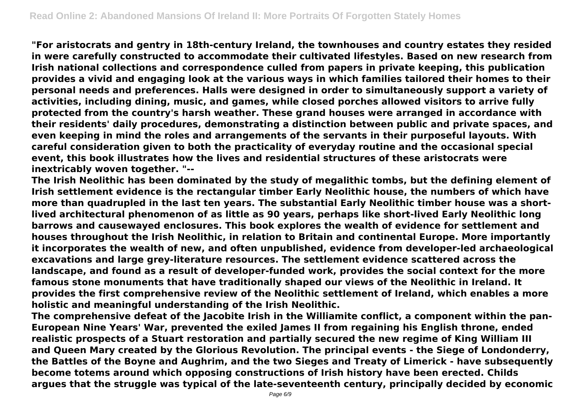**"For aristocrats and gentry in 18th-century Ireland, the townhouses and country estates they resided in were carefully constructed to accommodate their cultivated lifestyles. Based on new research from Irish national collections and correspondence culled from papers in private keeping, this publication provides a vivid and engaging look at the various ways in which families tailored their homes to their personal needs and preferences. Halls were designed in order to simultaneously support a variety of activities, including dining, music, and games, while closed porches allowed visitors to arrive fully protected from the country's harsh weather. These grand houses were arranged in accordance with their residents' daily procedures, demonstrating a distinction between public and private spaces, and even keeping in mind the roles and arrangements of the servants in their purposeful layouts. With careful consideration given to both the practicality of everyday routine and the occasional special event, this book illustrates how the lives and residential structures of these aristocrats were inextricably woven together. "--**

**The Irish Neolithic has been dominated by the study of megalithic tombs, but the defining element of Irish settlement evidence is the rectangular timber Early Neolithic house, the numbers of which have more than quadrupled in the last ten years. The substantial Early Neolithic timber house was a shortlived architectural phenomenon of as little as 90 years, perhaps like short-lived Early Neolithic long barrows and causewayed enclosures. This book explores the wealth of evidence for settlement and houses throughout the Irish Neolithic, in relation to Britain and continental Europe. More importantly it incorporates the wealth of new, and often unpublished, evidence from developer-led archaeological excavations and large grey-literature resources. The settlement evidence scattered across the landscape, and found as a result of developer-funded work, provides the social context for the more famous stone monuments that have traditionally shaped our views of the Neolithic in Ireland. It provides the first comprehensive review of the Neolithic settlement of Ireland, which enables a more holistic and meaningful understanding of the Irish Neolithic.**

**The comprehensive defeat of the Jacobite Irish in the Williamite conflict, a component within the pan-European Nine Years' War, prevented the exiled James II from regaining his English throne, ended realistic prospects of a Stuart restoration and partially secured the new regime of King William III and Queen Mary created by the Glorious Revolution. The principal events - the Siege of Londonderry, the Battles of the Boyne and Aughrim, and the two Sieges and Treaty of Limerick - have subsequently become totems around which opposing constructions of Irish history have been erected. Childs argues that the struggle was typical of the late-seventeenth century, principally decided by economic**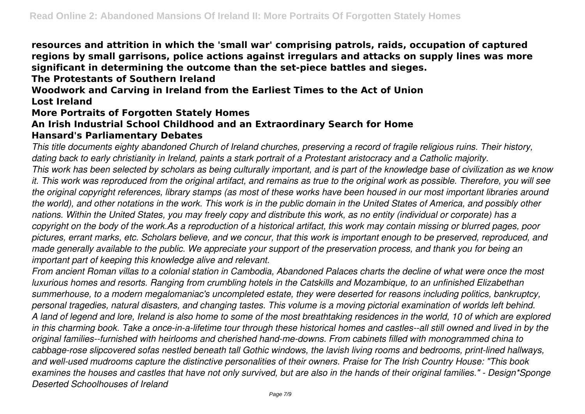**resources and attrition in which the 'small war' comprising patrols, raids, occupation of captured regions by small garrisons, police actions against irregulars and attacks on supply lines was more significant in determining the outcome than the set-piece battles and sieges.**

**The Protestants of Southern Ireland**

**Woodwork and Carving in Ireland from the Earliest Times to the Act of Union Lost Ireland**

#### **More Portraits of Forgotten Stately Homes**

# **An Irish Industrial School Childhood and an Extraordinary Search for Home**

#### **Hansard's Parliamentary Debates**

*This title documents eighty abandoned Church of Ireland churches, preserving a record of fragile religious ruins. Their history, dating back to early christianity in Ireland, paints a stark portrait of a Protestant aristocracy and a Catholic majority.*

*This work has been selected by scholars as being culturally important, and is part of the knowledge base of civilization as we know it. This work was reproduced from the original artifact, and remains as true to the original work as possible. Therefore, you will see the original copyright references, library stamps (as most of these works have been housed in our most important libraries around the world), and other notations in the work. This work is in the public domain in the United States of America, and possibly other nations. Within the United States, you may freely copy and distribute this work, as no entity (individual or corporate) has a copyright on the body of the work.As a reproduction of a historical artifact, this work may contain missing or blurred pages, poor pictures, errant marks, etc. Scholars believe, and we concur, that this work is important enough to be preserved, reproduced, and made generally available to the public. We appreciate your support of the preservation process, and thank you for being an important part of keeping this knowledge alive and relevant.*

*From ancient Roman villas to a colonial station in Cambodia, Abandoned Palaces charts the decline of what were once the most luxurious homes and resorts. Ranging from crumbling hotels in the Catskills and Mozambique, to an unfinished Elizabethan summerhouse, to a modern megalomaniac's uncompleted estate, they were deserted for reasons including politics, bankruptcy, personal tragedies, natural disasters, and changing tastes. This volume is a moving pictorial examination of worlds left behind. A land of legend and lore, Ireland is also home to some of the most breathtaking residences in the world, 10 of which are explored in this charming book. Take a once-in-a-lifetime tour through these historical homes and castles--all still owned and lived in by the original families--furnished with heirlooms and cherished hand-me-downs. From cabinets filled with monogrammed china to cabbage-rose slipcovered sofas nestled beneath tall Gothic windows, the lavish living rooms and bedrooms, print-lined hallways, and well-used mudrooms capture the distinctive personalities of their owners. Praise for The Irish Country House: "This book examines the houses and castles that have not only survived, but are also in the hands of their original families." - Design\*Sponge Deserted Schoolhouses of Ireland*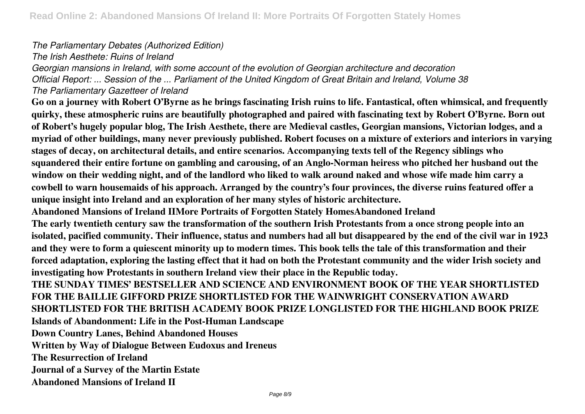*The Parliamentary Debates (Authorized Edition)*

*The Irish Aesthete: Ruins of Ireland*

*Georgian mansions in Ireland, with some account of the evolution of Georgian architecture and decoration Official Report: ... Session of the ... Parliament of the United Kingdom of Great Britain and Ireland, Volume 38 The Parliamentary Gazetteer of Ireland*

**Go on a journey with Robert O'Byrne as he brings fascinating Irish ruins to life. Fantastical, often whimsical, and frequently quirky, these atmospheric ruins are beautifully photographed and paired with fascinating text by Robert O'Byrne. Born out of Robert's hugely popular blog, The Irish Aesthete, there are Medieval castles, Georgian mansions, Victorian lodges, and a myriad of other buildings, many never previously published. Robert focuses on a mixture of exteriors and interiors in varying stages of decay, on architectural details, and entire scenarios. Accompanying texts tell of the Regency siblings who squandered their entire fortune on gambling and carousing, of an Anglo-Norman heiress who pitched her husband out the window on their wedding night, and of the landlord who liked to walk around naked and whose wife made him carry a cowbell to warn housemaids of his approach. Arranged by the country's four provinces, the diverse ruins featured offer a unique insight into Ireland and an exploration of her many styles of historic architecture.**

**Abandoned Mansions of Ireland IIMore Portraits of Forgotten Stately HomesAbandoned Ireland**

**The early twentieth century saw the transformation of the southern Irish Protestants from a once strong people into an isolated, pacified community. Their influence, status and numbers had all but disappeared by the end of the civil war in 1923 and they were to form a quiescent minority up to modern times. This book tells the tale of this transformation and their forced adaptation, exploring the lasting effect that it had on both the Protestant community and the wider Irish society and investigating how Protestants in southern Ireland view their place in the Republic today.**

**THE SUNDAY TIMES' BESTSELLER AND SCIENCE AND ENVIRONMENT BOOK OF THE YEAR SHORTLISTED FOR THE BAILLIE GIFFORD PRIZE SHORTLISTED FOR THE WAINWRIGHT CONSERVATION AWARD SHORTLISTED FOR THE BRITISH ACADEMY BOOK PRIZE LONGLISTED FOR THE HIGHLAND BOOK PRIZE Islands of Abandonment: Life in the Post-Human Landscape**

**Down Country Lanes, Behind Abandoned Houses**

**Written by Way of Dialogue Between Eudoxus and Ireneus**

**The Resurrection of Ireland**

**Journal of a Survey of the Martin Estate**

**Abandoned Mansions of Ireland II**